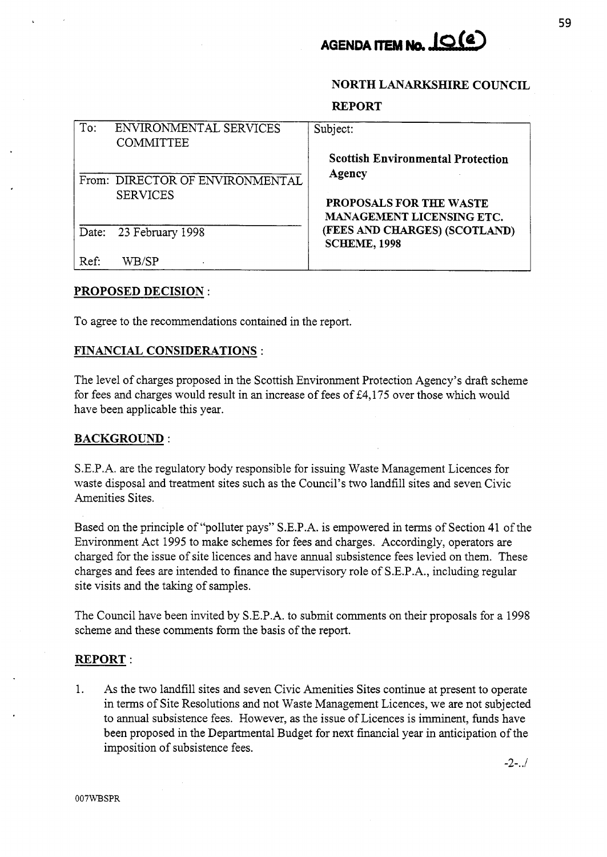

## **NORTH LANARKSHIRE COUNCIL**

#### **REPORT**

| To:<br>ENVIRONMENTAL SERVICES<br><b>COMMITTEE</b> | Subject:                                                           |
|---------------------------------------------------|--------------------------------------------------------------------|
| From: DIRECTOR OF ENVIRONMENTAL                   | <b>Scottish Environmental Protection</b><br>Agency                 |
| <b>SERVICES</b>                                   | <b>PROPOSALS FOR THE WASTE</b><br><b>MANAGEMENT LICENSING ETC.</b> |
| Date: 23 February 1998                            | (FEES AND CHARGES) (SCOTLAND)<br><b>SCHEME, 1998</b>               |
| Ref:<br>WB/SP                                     |                                                                    |

### **PROPOSED DECISION** :

To agree to the recommendations contained in the report.

# **FINANCIAL CONSIDERATIONS** :

The level of charges proposed in the Scottish Environment Protection Agency's draft scheme for fees and charges would result in an increase of fees of  $\text{\pounds}4,175$  over those which would have been applicable this year.

# **BACKGROUND** :

S.E.P.A. are the regulatory body responsible for issuing Waste Management Licences for waste disposal and treatment sites such as the Council's two landfill sites and seven Civic Amenities Sites.

Based on the principle of "polluter pays" S.E.P.A. is empowered in terms of Section 41 of the Environment Act 1995 to make schemes for fees and charges. Accordingly, operators are charged for the issue of site licences and have annual subsistence fees levied on them. These charges and fees are intended to finance the supervisory role of S.E.P.A., including regular site visits and the taking of samples.

The Council have been invited by S.E.P.A. to submit comments on their proposals for a 1998 scheme and these comments form the basis of the report.

#### **REPORT** :

1. As the two landfill sites and seven Civic Amenities Sites continue at present to operate in terms of Site Resolutions and not Waste Management Licences, we are not subjected to annual subsistence fees. However, as the issue of Licences is imminent, funds have been proposed in the Departmental Budget for next financial year in anticipation of the imposition of subsistence fees.

*-2-..I*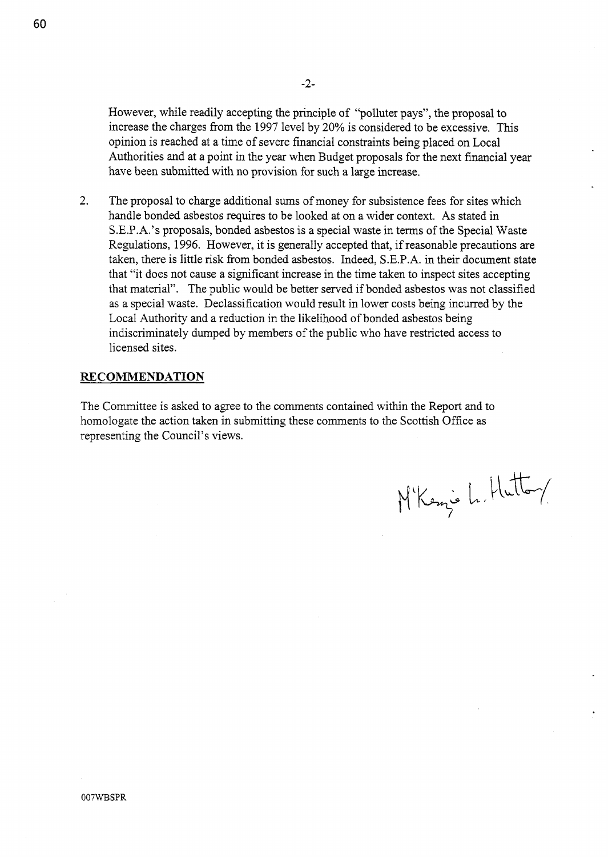However, while readily accepting the principle of "polluter pays", the proposal to increase the charges from the 1997 level by 20% is considered to be excessive. This opinion is reached at a time of severe financial constraints being placed on Local Authorities and at a point in the year when Budget proposals for the next financial year have been submitted with no provision for such a large increase.

The proposal to charge additional sums of money for subsistence fees for sites which handle bonded asbestos requires to be looked at on a wider context. **As** stated in S.E.P.A.'s proposals, bonded asbestos is a special waste in terms of the Special Waste Regulations, 1996. However, it is generally accepted that, if reasonable precautions are taken, there is little risk fiom bonded asbestos. Indeed, S.E.P.A. in their document state that "it does not cause a significant increase in the time taken to inspect sites accepting that material". The public would be better served if bonded asbestos was not classified as a special waste. Declassification would result in lower costs being incurred by the Local Authority and a reduction in the likelihood of bonded asbestos being indiscriminately dumped by members of the public who have restricted access to licensed sites. 2.

# **RECOMMENDATION**

The Committee is asked to agree to the comments contained within the Report and to homologate the action taken in submitting these comments to the Scottish Office as representing the Council's views.

M'Kenjo L. Hutton